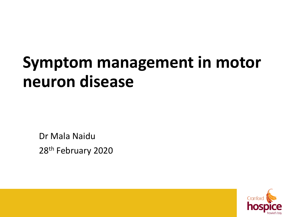#### **Symptom management in motor neuron disease**

Dr Mala Naidu 28<sup>th</sup> February 2020

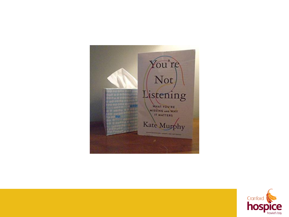

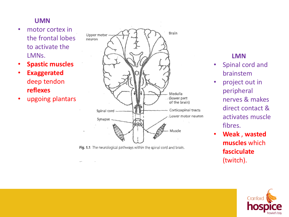#### **UMN**

- motor cortex in the frontal lobes to activate the LMNs.
- **Spastic muscles**
- **Exaggerated** deep tendon **reflexes**
- upgoing plantars



Fig. 1.1 The neurological pathways within the spinal cord and brain.

#### **LMN**

- Spinal cord and brainstem
	- project out in peripheral nerves & makes direct contact & activates muscle fibres.
- **Weak** , **wasted muscles** which **fasciculate** (twitch).

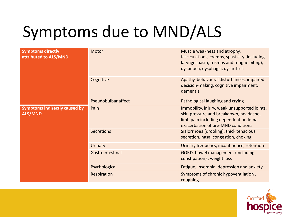### Symptoms due to MND/ALS

| <b>Symptoms directly</b><br>attributed to ALS/MND      | Motor               | Muscle weakness and atrophy,<br>fasciculations, cramps, spasticity (including<br>laryngospasm, trismus and tongue biting),<br>dyspnoea, dysphagia, dysarthria         |
|--------------------------------------------------------|---------------------|-----------------------------------------------------------------------------------------------------------------------------------------------------------------------|
|                                                        | Cognitive           | Apathy, behavoural disturbances, impaired<br>decision-making, cognitive impairment,<br>dementia                                                                       |
|                                                        | Pseudobulbar affect | Pathological laughing and crying                                                                                                                                      |
| <b>Symptoms indirectly caused by</b><br><b>ALS/MND</b> | Pain                | Immobility, injury, weak unsupported joints,<br>skin pressure and breakdown, headache,<br>limb pain including dependent oedema,<br>exacerbation of pre-MND conditions |
|                                                        | <b>Secretions</b>   | Sialorrhoea (drooling), thick tenacious<br>secretion, nasal congestion, choking                                                                                       |
|                                                        | <b>Urinary</b>      | Urinary frequency, incontinence, retention                                                                                                                            |
|                                                        | Gastrointestinal    | GORD, bowel management (including<br>constipation), weight loss                                                                                                       |
|                                                        | Psychological       | Fatigue, insomnia, depression and anxiety                                                                                                                             |
|                                                        | Respiration         | Symptoms of chronic hypoventilation,<br>coughing                                                                                                                      |

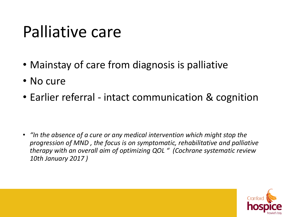#### Palliative care

- Mainstay of care from diagnosis is palliative
- No cure
- Earlier referral intact communication & cognition

• *"In the absence of a cure or any medical intervention which might stop the progression of MND , the focus is on symptomatic, rehabilitative and palliative therapy with an overall aim of optimizing QOL " (Cochrane systematic review 10th January 2017 )*

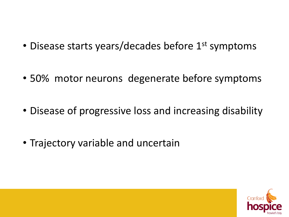- Disease starts years/decades before 1<sup>st</sup> symptoms
- 50% motor neurons degenerate before symptoms
- Disease of progressive loss and increasing disability
- Trajectory variable and uncertain

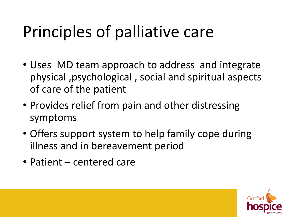#### Principles of palliative care

- Uses MD team approach to address and integrate physical ,psychological , social and spiritual aspects of care of the patient
- Provides relief from pain and other distressing symptoms
- Offers support system to help family cope during illness and in bereavement period
- Patient centered care

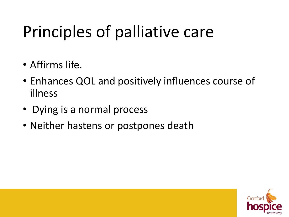#### Principles of palliative care

- Affirms life.
- Enhances QOL and positively influences course of illness
- Dying is a normal process
- Neither hastens or postpones death

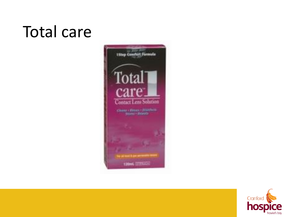#### Total care



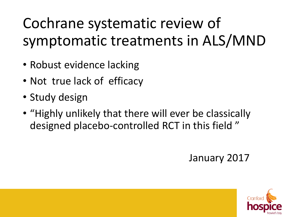#### Cochrane systematic review of symptomatic treatments in ALS/MND

- Robust evidence lacking
- Not true lack of efficacy
- Study design
- "Highly unlikely that there will ever be classically designed placebo-controlled RCT in this field "

#### January 2017

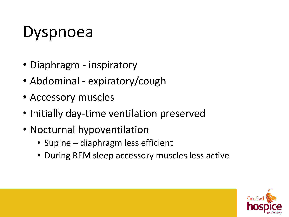#### Dyspnoea

- Diaphragm inspiratory
- Abdominal expiratory/cough
- Accessory muscles
- Initially day-time ventilation preserved
- Nocturnal hypoventilation
	- Supine diaphragm less efficient
	- During REM sleep accessory muscles less active

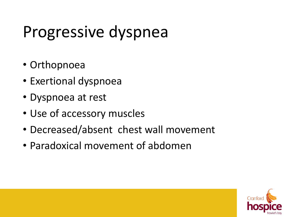#### Progressive dyspnea

- Orthopnoea
- Exertional dyspnoea
- Dyspnoea at rest
- Use of accessory muscles
- Decreased/absent chest wall movement
- Paradoxical movement of abdomen

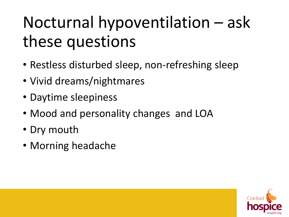### Nocturnal hypoventilation – ask these questions

- Restless disturbed sleep, non-refreshing sleep
- Vivid dreams/nightmares
- Daytime sleepiness
- Mood and personality changes and LOA
- Dry mouth
- Morning headache

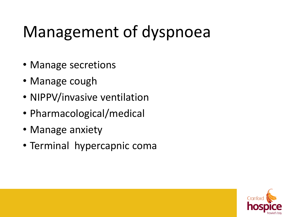### Management of dyspnoea

- Manage secretions
- Manage cough
- NIPPV/invasive ventilation
- Pharmacological/medical
- Manage anxiety
- Terminal hypercapnic coma

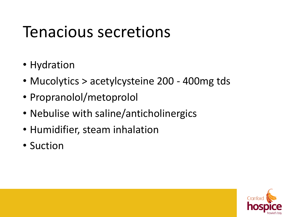#### Tenacious secretions

- Hydration
- Mucolytics > acetylcysteine 200 400mg tds
- Propranolol/metoprolol
- Nebulise with saline/anticholinergics
- Humidifier, steam inhalation
- Suction

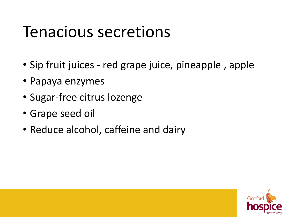#### Tenacious secretions

- Sip fruit juices red grape juice, pineapple , apple
- Papaya enzymes
- Sugar-free citrus lozenge
- Grape seed oil
- Reduce alcohol, caffeine and dairy

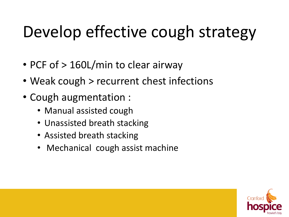#### Develop effective cough strategy

- PCF of > 160L/min to clear airway
- Weak cough > recurrent chest infections
- Cough augmentation :
	- Manual assisted cough
	- Unassisted breath stacking
	- Assisted breath stacking
	- Mechanical cough assist machine

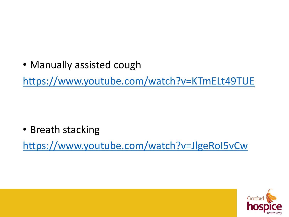• Manually assisted cough

<https://www.youtube.com/watch?v=KTmELt49TUE>

• Breath stacking

<https://www.youtube.com/watch?v=JlgeRoI5vCw>

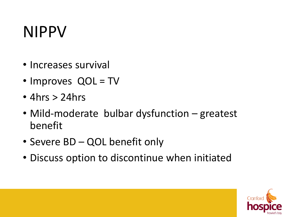#### NIPPV

- Increases survival
- Improves QOL = TV
- $\cdot$  4hrs  $>$  24hrs
- Mild-moderate bulbar dysfunction greatest benefit
- Severe BD QOL benefit only
- Discuss option to discontinue when initiated

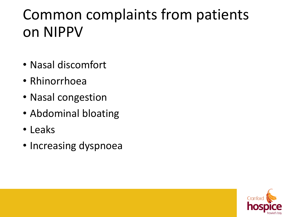#### Common complaints from patients on NIPPV

- Nasal discomfort
- Rhinorrhoea
- Nasal congestion
- Abdominal bloating
- Leaks
- Increasing dyspnoea

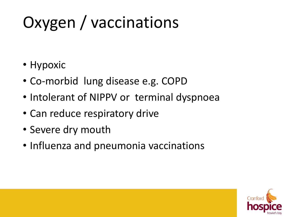# Oxygen / vaccinations

- Hypoxic
- Co-morbid lung disease e.g. COPD
- Intolerant of NIPPV or terminal dyspnoea
- Can reduce respiratory drive
- Severe dry mouth
- Influenza and pneumonia vaccinations

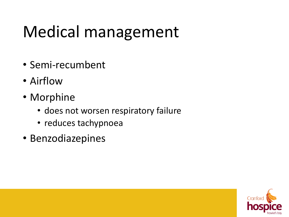### Medical management

- Semi-recumbent
- Airflow
- Morphine
	- does not worsen respiratory failure
	- reduces tachypnoea
- Benzodiazepines

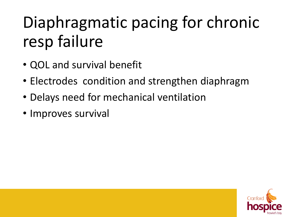### Diaphragmatic pacing for chronic resp failure

- QOL and survival benefit
- Electrodes condition and strengthen diaphragm
- Delays need for mechanical ventilation
- Improves survival

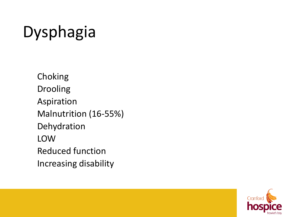# Dysphagia

Choking Drooling Aspiration Malnutrition (16-55%) Dehydration LOW Reduced function Increasing disability

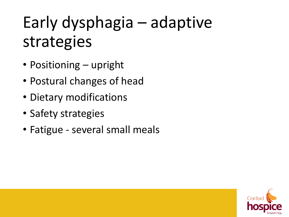### Early dysphagia – adaptive strategies

- Positioning upright
- Postural changes of head
- Dietary modifications
- Safety strategies
- Fatigue several small meals

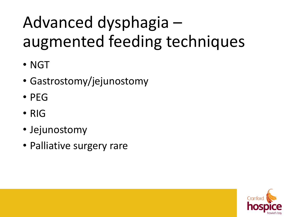### Advanced dysphagia – augmented feeding techniques

- NGT
- Gastrostomy/jejunostomy
- PEG
- RIG
- Jejunostomy
- Palliative surgery rare

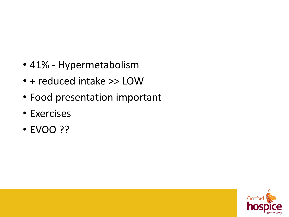- 41% Hypermetabolism
- + reduced intake >> LOW
- Food presentation important
- Exercises
- EVOO ??

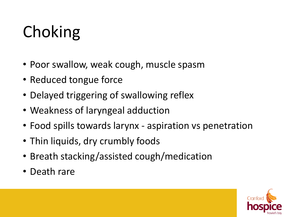### Choking

- Poor swallow, weak cough, muscle spasm
- Reduced tongue force
- Delayed triggering of swallowing reflex
- Weakness of laryngeal adduction
- Food spills towards larynx aspiration vs penetration
- Thin liquids, dry crumbly foods
- Breath stacking/assisted cough/medication
- Death rare

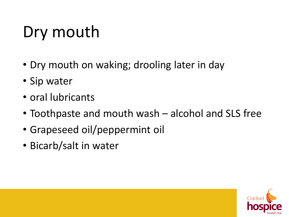### Dry mouth

- Dry mouth on waking; drooling later in day
- Sip water
- oral lubricants
- Toothpaste and mouth wash alcohol and SLS free
- Grapeseed oil/peppermint oil
- Bicarb/salt in water

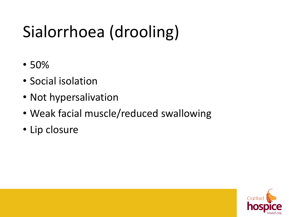# Sialorrhoea (drooling)

- 50%
- Social isolation
- Not hypersalivation
- Weak facial muscle/reduced swallowing
- Lip closure

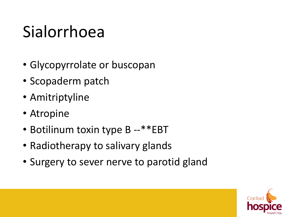### Sialorrhoea

- Glycopyrrolate or buscopan
- Scopaderm patch
- Amitriptyline
- Atropine
- Botilinum toxin type B --\*\*EBT
- Radiotherapy to salivary glands
- Surgery to sever nerve to parotid gland

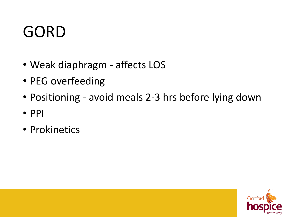#### GORD

- Weak diaphragm affects LOS
- PEG overfeeding
- Positioning avoid meals 2-3 hrs before lying down
- PPI
- Prokinetics

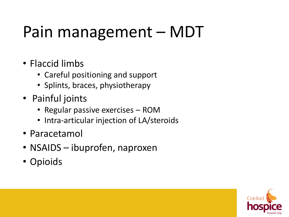### Pain management – MDT

- Flaccid limbs
	- Careful positioning and support
	- Splints, braces, physiotherapy
- Painful joints
	- Regular passive exercises ROM
	- Intra-articular injection of LA/steroids
- Paracetamol
- NSAIDS ibuprofen, naproxen
- Opioids

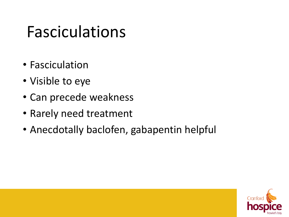#### Fasciculations

- Fasciculation
- Visible to eye
- Can precede weakness
- Rarely need treatment
- Anecdotally baclofen, gabapentin helpful

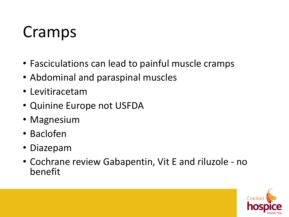#### Cramps

- Fasciculations can lead to painful muscle cramps
- Abdominal and paraspinal muscles
- Levitiracetam
- Quinine Europe not USFDA
- Magnesium
- Baclofen
- Diazepam
- Cochrane review Gabapentin, Vit E and riluzole no benefit

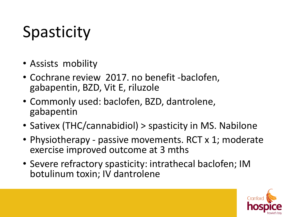### **Spasticity**

- Assists mobility
- Cochrane review 2017. no benefit -baclofen, gabapentin, BZD, Vit E, riluzole
- Commonly used: baclofen, BZD, dantrolene, gabapentin
- Sativex (THC/cannabidiol) > spasticity in MS. Nabilone
- Physiotherapy passive movements. RCT x 1; moderate exercise improved outcome at 3 mths
- Severe refractory spasticity: intrathecal baclofen; IM botulinum toxin; IV dantrolene

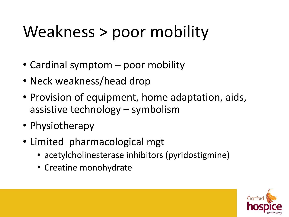### Weakness > poor mobility

- Cardinal symptom poor mobility
- Neck weakness/head drop
- Provision of equipment, home adaptation, aids, assistive technology – symbolism
- Physiotherapy
- Limited pharmacological mgt
	- acetylcholinesterase inhibitors (pyridostigmine)
	- Creatine monohydrate

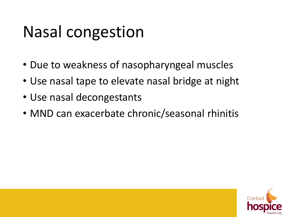#### Nasal congestion

- Due to weakness of nasopharyngeal muscles
- Use nasal tape to elevate nasal bridge at night
- Use nasal decongestants
- MND can exacerbate chronic/seasonal rhinitis

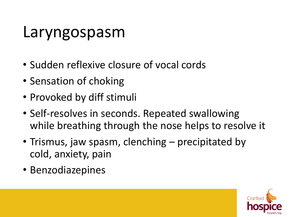#### Laryngospasm

- Sudden reflexive closure of vocal cords
- Sensation of choking
- Provoked by diff stimuli
- Self-resolves in seconds. Repeated swallowing while breathing through the nose helps to resolve it
- Trismus, jaw spasm, clenching precipitated by cold, anxiety, pain
- Benzodiazepines

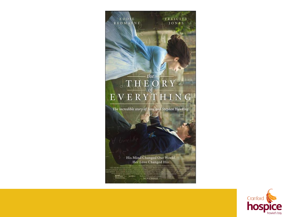#### 法法国通信 FELICITY<br>JONES **EDDIE** REDMANNE  $\begin{array}{c} \begin{array}{c} \text{The} \\ \hline \text{T}\text{H}\text{E}\text{O}\text{R}\text{Y} \end{array} \end{array}$  E V E R Y T H I N

The incredible story of Jane and Stephen Hawking

His Mind Changed Our World. Her Love Changed His. **FOCUS SEATURE** R LIZACHANN DAVID KONZE († 17. VEZ)<br>1900 - TOM REVAN ERIC HILINER LISA BRUCE **NOVEMBER** 

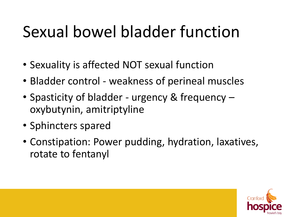#### Sexual bowel bladder function

- Sexuality is affected NOT sexual function
- Bladder control weakness of perineal muscles
- Spasticity of bladder urgency & frequency oxybutynin, amitriptyline
- Sphincters spared
- Constipation: Power pudding, hydration, laxatives, rotate to fentanyl

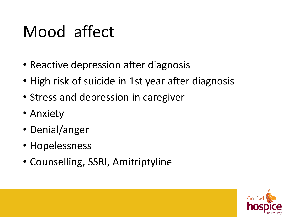#### Mood affect

- Reactive depression after diagnosis
- High risk of suicide in 1st year after diagnosis
- Stress and depression in caregiver
- Anxiety
- Denial/anger
- Hopelessness
- Counselling, SSRI, Amitriptyline

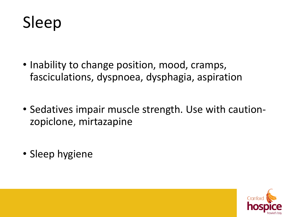

- Inability to change position, mood, cramps, fasciculations, dyspnoea, dysphagia, aspiration
- Sedatives impair muscle strength. Use with cautionzopiclone, mirtazapine
- Sleep hygiene

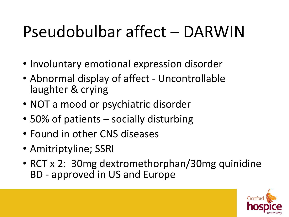#### Pseudobulbar affect – DARWIN

- Involuntary emotional expression disorder
- Abnormal display of affect Uncontrollable laughter & crying
- NOT a mood or psychiatric disorder
- 50% of patients socially disturbing
- Found in other CNS diseases
- Amitriptyline; SSRI
- RCT x 2: 30mg dextromethorphan/30mg quinidine BD - approved in US and Europe

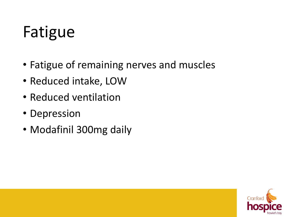#### Fatigue

- Fatigue of remaining nerves and muscles
- Reduced intake, LOW
- Reduced ventilation
- Depression
- Modafinil 300mg daily

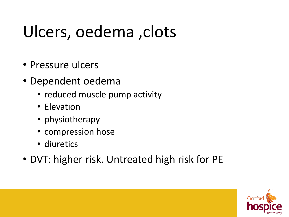### Ulcers, oedema ,clots

- Pressure ulcers
- Dependent oedema
	- reduced muscle pump activity
	- Elevation
	- physiotherapy
	- compression hose
	- diuretics
- DVT: higher risk. Untreated high risk for PE

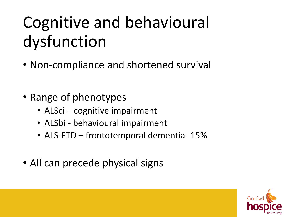### Cognitive and behavioural dysfunction

- Non-compliance and shortened survival
- Range of phenotypes
	- ALSci cognitive impairment
	- ALSbi behavioural impairment
	- ALS-FTD frontotemporal dementia- 15%
- All can precede physical signs

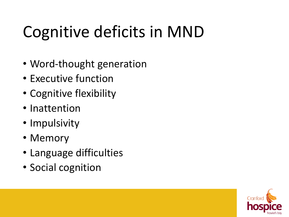### Cognitive deficits in MND

- Word-thought generation
- Executive function
- Cognitive flexibility
- Inattention
- Impulsivity
- Memory
- Language difficulties
- Social cognition

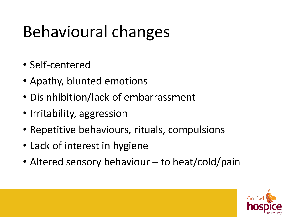### Behavioural changes

- Self-centered
- Apathy, blunted emotions
- Disinhibition/lack of embarrassment
- Irritability, aggression
- Repetitive behaviours, rituals, compulsions
- Lack of interest in hygiene
- Altered sensory behaviour to heat/cold/pain

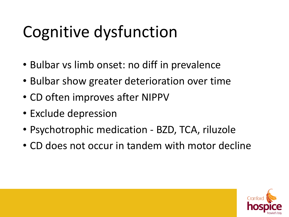### Cognitive dysfunction

- Bulbar vs limb onset: no diff in prevalence
- Bulbar show greater deterioration over time
- CD often improves after NIPPV
- Exclude depression
- Psychotrophic medication BZD, TCA, riluzole
- CD does not occur in tandem with motor decline

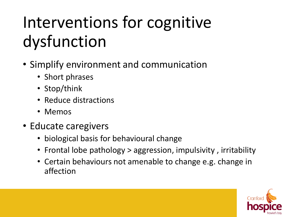### Interventions for cognitive dysfunction

- Simplify environment and communication
	- Short phrases
	- Stop/think
	- Reduce distractions
	- Memos
- Educate caregivers
	- biological basis for behavioural change
	- Frontal lobe pathology > aggression, impulsivity , irritability
	- Certain behaviours not amenable to change e.g. change in affection

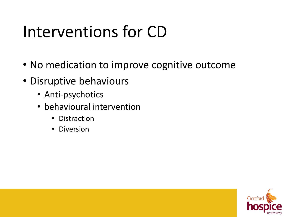#### Interventions for CD

- No medication to improve cognitive outcome
- Disruptive behaviours
	- Anti-psychotics
	- behavioural intervention
		- Distraction
		- Diversion

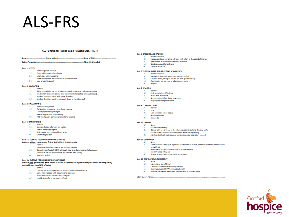#### ALS-FRS

#### **ALS Functional Rating Scale Revised (ALS-FRS-R)**

#### 

#### **Item 1: SPEECH**

- 4 Normal speech process
- 3 Detectable speech disturbance
- $2 \Box$  Intelligible with repeating
- 1 5 Speech combined with non-vocal communication
- 0<sup>1</sup> Loss of useful speech

#### **Item 2: SALIVATION**

- $A \Box$  Normal
- $2<sub>1</sub>$ Slight but definite excess of saliva in mouth; may have nighttime drooling
- 2 Moderately excessive saliva; may have minimal drooling (during the day)
- $1 \Box$  Marked excess of saliva with some drooling
- 0 D Marked drooling; requires constant tissue or handkerchief

#### Item 3: SWALLOWING

- 4 Normal eating habits
	- 3 D Early eating problems occasional choking
	- 2 Dietary consistency changes
	- Needs supplement tube feeding  $1 \Box$
	- 0 D NPO (exclusively parenteral or enteral feeding)

#### **Item 4: HANDWRITING**

- 4 Normal
- 3 Slow or sloppy: all words are legible
- 2 Not all words are legible
- 1 Able to grip pen, but unable to write
- 0 Unable to grip pen

#### Item 5a: CUTTING FOOD AND HANDLING UTENSILS

#### Patients without gastrostomy  $\Rightarrow$  Use 5b if >50% is through g-tube

- Normal  $4\square$
- 3 Somewhat slow and clumsy, but no help needed
- 2 D Can cut most foods (>50%), although slow and clumsy; some help needed
- 1 Food must be cut by someone, but can still feed slowly
- 0 Needs to be fed

#### Item 5b: CUTTING FOOD AND HANDLING UTENSILS

#### Patients with gastrostomy > Sb option is used if the patient has a gastrostomy and only if it is the primary method (more than 50%) of eating.

- $4 \Box$  Normal
- 3 D Clumsy, but able to perform all manipulations independently
- 2 Some help needed with closures and fasteners
- 1 Provides minimal assistance to caregiver
- Unable to perform any aspect of task  $0<sup>1</sup>$

#### Item 6: DRESSING AND HYGIENE

- **4 | Normal function**
- 3 D Independent and complete self-care with effort or decreased efficiency
- 2 Intermittent assistance or substitute methods
- Needs attendant for self-care 1.01
- 0 Total dependence

#### Item 7: TURNING IN BED AND ADJUSTING BED CLOTHES

- 4 Normal function
- 3 Somewhat slow and clumsy, but no help needed
- 2 Can turn alone, or adjust sheets, but with great difficulty
- 1 Can initiate, but not turn or adjust sheets alone
- 0<sup>D</sup> Helpless

#### **Ham 8- WALKING**

- 4 Normal
- 3 Early ambulation difficulties
- $2\square$ Walks with assistance
- 1 Non-ambulatory functional movement
- 0 No purposeful leg movement

#### Item 9: CLIMBING STAIRS

- 4 Normal
- **SILL** Close
- $2<sub>1</sub>$ Mild unsteadiness or fatigue
- 1 Needs assistance
- 0 Cannot do

#### Item 10: DYSPNEA

- 4 None  $3<sub>1</sub>$ **Occurs when walking**
- $2 \Box$  Occurs with one or more of the following: eating, bathing, dressing (ADL)
- 1 D Occurs at rest: difficulty breathing when either sitting or lying
- 0 Significant difficulty: considering using mechanical respiratory support
- Item 11: ORTHOPNEA
- 4 None
	- 3 D Some difficulty sleeping at night due to shortness of breath, does not routinely use more than two pillows
	- $2<sub>1</sub>$ Needs extra pillows in order to sleep (more than two)
	- Can only sleep sitting up  $1 \Box$
	- 0 Unable to sleep without mechanical assistance

#### Item 12: RESPIRATORY INSUFFICIENCY

- 4 None
- 3 Intermittent use of BiPAP
- $2\square$ Continuous use of BiPAP during the night
- 1 Continuous use of BiPAP during day & night
- 0 D Invasive mechanical ventilation by intubation or tracheostomy

Interviewer's name...

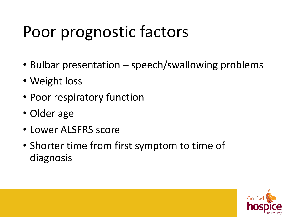#### Poor prognostic factors

- Bulbar presentation speech/swallowing problems
- Weight loss
- Poor respiratory function
- Older age
- Lower ALSFRS score
- Shorter time from first symptom to time of diagnosis

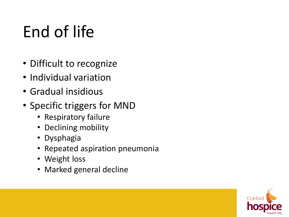### End of life

- Difficult to recognize
- Individual variation
- Gradual insidious
- Specific triggers for MND
	- Respiratory failure
	- Declining mobility
	- Dysphagia
	- Repeated aspiration pneumonia
	- Weight loss
	- Marked general decline

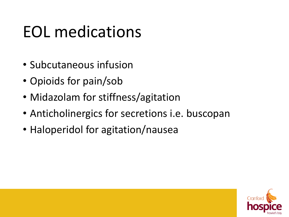#### EOL medications

- Subcutaneous infusion
- Opioids for pain/sob
- Midazolam for stiffness/agitation
- Anticholinergics for secretions i.e. buscopan
- Haloperidol for agitation/nausea

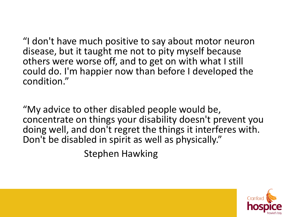"I don't have much positive to say about motor neuron disease, but it taught me not to pity myself because others were worse off, and to get on with what I still could do. I'm happier now than before I developed the condition."

"My advice to other disabled people would be, concentrate on things your disability doesn't prevent you doing well, and don't regret the things it interferes with. Don't be disabled in spirit as well as physically."

Stephen Hawking

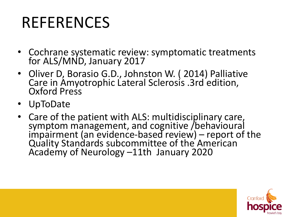#### REFERENCES

- Cochrane systematic review: symptomatic treatments for ALS/MND, January 2017
- Oliver D, Borasio G.D., Johnston W. ( 2014) Palliative Care in Amyotrophic Lateral Sclerosis .3rd edition, Oxford Press
- UpToDate
- Care of the patient with ALS: multidisciplinary care, symptom management, and cognitive /behavioural impairment (an evidence-based review) – report of the Quality Standards subcommittee of the American Academy of Neurology –11th January 2020